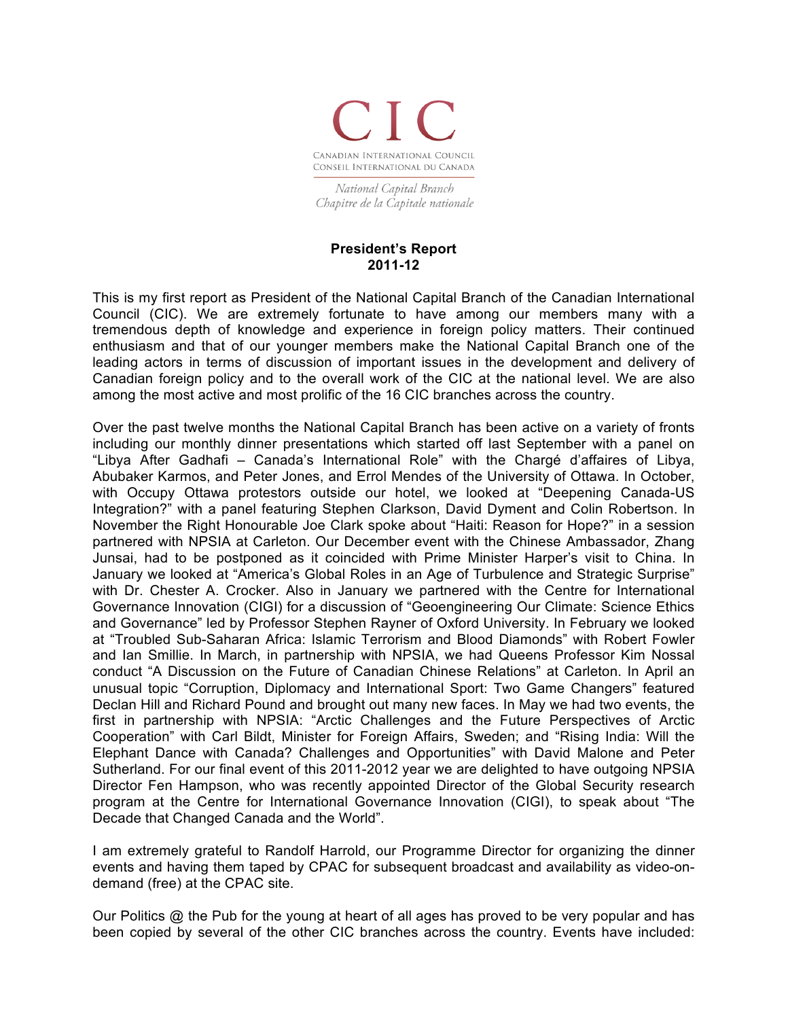

National Capital Branch Chapitre de la Capitale nationale

## **President's Report 2011-12**

This is my first report as President of the National Capital Branch of the Canadian International Council (CIC). We are extremely fortunate to have among our members many with a tremendous depth of knowledge and experience in foreign policy matters. Their continued enthusiasm and that of our younger members make the National Capital Branch one of the leading actors in terms of discussion of important issues in the development and delivery of Canadian foreign policy and to the overall work of the CIC at the national level. We are also among the most active and most prolific of the 16 CIC branches across the country.

Over the past twelve months the National Capital Branch has been active on a variety of fronts including our monthly dinner presentations which started off last September with a panel on "Libya After Gadhafi – Canada's International Role" with the Chargé d'affaires of Libya, Abubaker Karmos, and Peter Jones, and Errol Mendes of the University of Ottawa. In October, with Occupy Ottawa protestors outside our hotel, we looked at "Deepening Canada-US Integration?" with a panel featuring Stephen Clarkson, David Dyment and Colin Robertson. In November the Right Honourable Joe Clark spoke about "Haiti: Reason for Hope?" in a session partnered with NPSIA at Carleton. Our December event with the Chinese Ambassador, Zhang Junsai, had to be postponed as it coincided with Prime Minister Harper's visit to China. In January we looked at "America's Global Roles in an Age of Turbulence and Strategic Surprise" with Dr. Chester A. Crocker. Also in January we partnered with the Centre for International Governance Innovation (CIGI) for a discussion of "Geoengineering Our Climate: Science Ethics and Governance" led by Professor Stephen Rayner of Oxford University. In February we looked at "Troubled Sub-Saharan Africa: Islamic Terrorism and Blood Diamonds" with Robert Fowler and Ian Smillie. In March, in partnership with NPSIA, we had Queens Professor Kim Nossal conduct "A Discussion on the Future of Canadian Chinese Relations" at Carleton. In April an unusual topic "Corruption, Diplomacy and International Sport: Two Game Changers" featured Declan Hill and Richard Pound and brought out many new faces. In May we had two events, the first in partnership with NPSIA: "Arctic Challenges and the Future Perspectives of Arctic Cooperation" with Carl Bildt, Minister for Foreign Affairs, Sweden; and "Rising India: Will the Elephant Dance with Canada? Challenges and Opportunities" with David Malone and Peter Sutherland. For our final event of this 2011-2012 year we are delighted to have outgoing NPSIA Director Fen Hampson, who was recently appointed Director of the Global Security research program at the Centre for International Governance Innovation (CIGI), to speak about "The Decade that Changed Canada and the World".

I am extremely grateful to Randolf Harrold, our Programme Director for organizing the dinner events and having them taped by CPAC for subsequent broadcast and availability as video-ondemand (free) at the CPAC site.

Our Politics  $\omega$  the Pub for the young at heart of all ages has proved to be very popular and has been copied by several of the other CIC branches across the country. Events have included: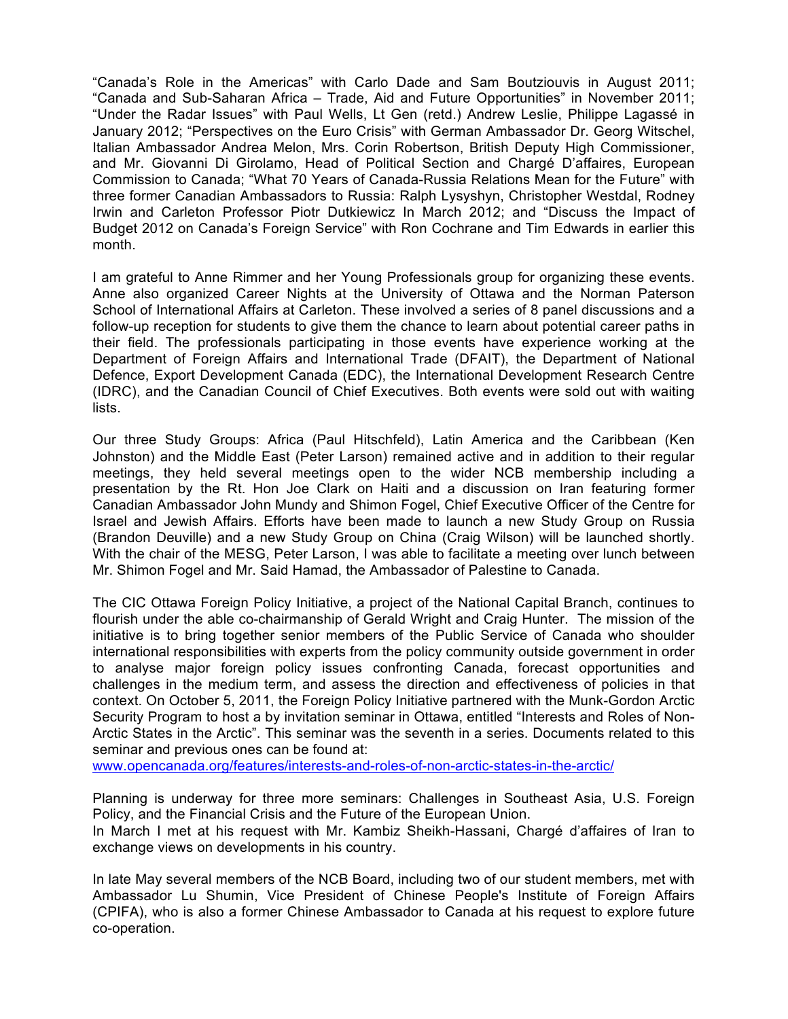"Canada's Role in the Americas" with Carlo Dade and Sam Boutziouvis in August 2011; "Canada and Sub-Saharan Africa – Trade, Aid and Future Opportunities" in November 2011; "Under the Radar Issues" with Paul Wells, Lt Gen (retd.) Andrew Leslie, Philippe Lagassé in January 2012; "Perspectives on the Euro Crisis" with German Ambassador Dr. Georg Witschel, Italian Ambassador Andrea Melon, Mrs. Corin Robertson, British Deputy High Commissioner, and Mr. Giovanni Di Girolamo, Head of Political Section and Chargé D'affaires, European Commission to Canada; "What 70 Years of Canada-Russia Relations Mean for the Future" with three former Canadian Ambassadors to Russia: Ralph Lysyshyn, Christopher Westdal, Rodney Irwin and Carleton Professor Piotr Dutkiewicz In March 2012; and "Discuss the Impact of Budget 2012 on Canada's Foreign Service" with Ron Cochrane and Tim Edwards in earlier this month.

I am grateful to Anne Rimmer and her Young Professionals group for organizing these events. Anne also organized Career Nights at the University of Ottawa and the Norman Paterson School of International Affairs at Carleton. These involved a series of 8 panel discussions and a follow-up reception for students to give them the chance to learn about potential career paths in their field. The professionals participating in those events have experience working at the Department of Foreign Affairs and International Trade (DFAIT), the Department of National Defence, Export Development Canada (EDC), the International Development Research Centre (IDRC), and the Canadian Council of Chief Executives. Both events were sold out with waiting lists.

Our three Study Groups: Africa (Paul Hitschfeld), Latin America and the Caribbean (Ken Johnston) and the Middle East (Peter Larson) remained active and in addition to their regular meetings, they held several meetings open to the wider NCB membership including a presentation by the Rt. Hon Joe Clark on Haiti and a discussion on Iran featuring former Canadian Ambassador John Mundy and Shimon Fogel, Chief Executive Officer of the Centre for Israel and Jewish Affairs. Efforts have been made to launch a new Study Group on Russia (Brandon Deuville) and a new Study Group on China (Craig Wilson) will be launched shortly. With the chair of the MESG, Peter Larson, I was able to facilitate a meeting over lunch between Mr. Shimon Fogel and Mr. Said Hamad, the Ambassador of Palestine to Canada.

The CIC Ottawa Foreign Policy Initiative, a project of the National Capital Branch, continues to flourish under the able co-chairmanship of Gerald Wright and Craig Hunter. The mission of the initiative is to bring together senior members of the Public Service of Canada who shoulder international responsibilities with experts from the policy community outside government in order to analyse major foreign policy issues confronting Canada, forecast opportunities and challenges in the medium term, and assess the direction and effectiveness of policies in that context. On October 5, 2011, the Foreign Policy Initiative partnered with the Munk-Gordon Arctic Security Program to host a by invitation seminar in Ottawa, entitled "Interests and Roles of Non-Arctic States in the Arctic". This seminar was the seventh in a series. Documents related to this seminar and previous ones can be found at:

www.opencanada.org/features/interests-and-roles-of-non-arctic-states-in-the-arctic/

Planning is underway for three more seminars: Challenges in Southeast Asia, U.S. Foreign Policy, and the Financial Crisis and the Future of the European Union.

In March I met at his request with Mr. Kambiz Sheikh-Hassani, Chargé d'affaires of Iran to exchange views on developments in his country.

In late May several members of the NCB Board, including two of our student members, met with Ambassador Lu Shumin, Vice President of Chinese People's Institute of Foreign Affairs (CPIFA), who is also a former Chinese Ambassador to Canada at his request to explore future co-operation.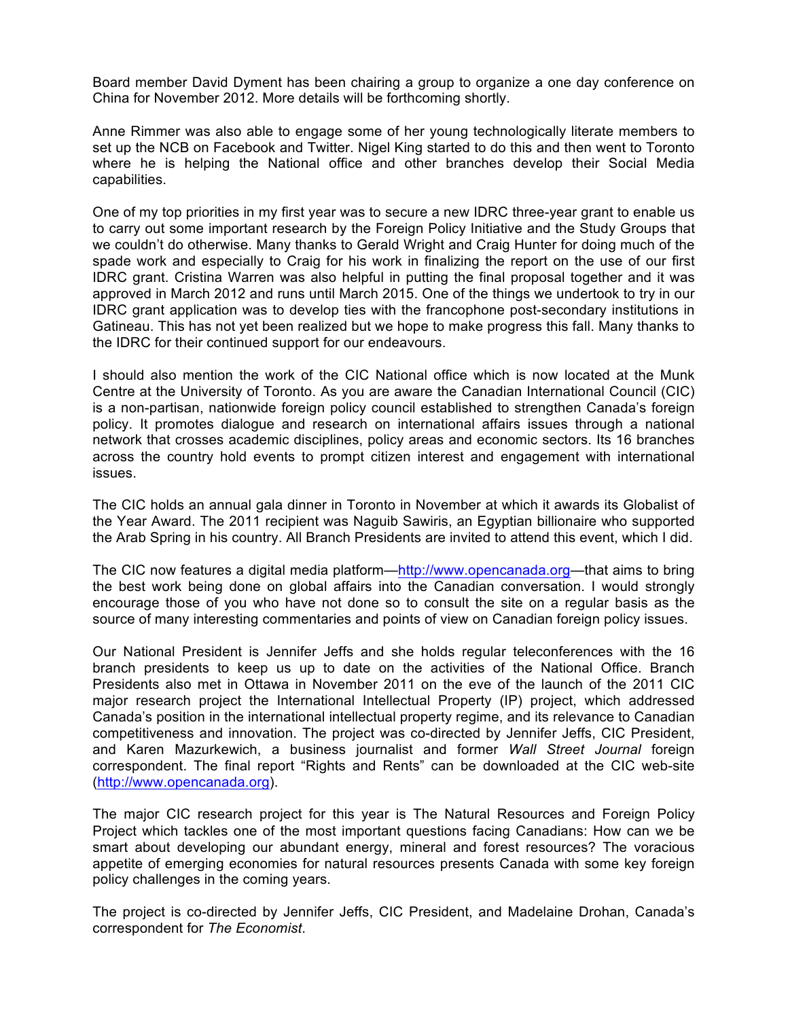Board member David Dyment has been chairing a group to organize a one day conference on China for November 2012. More details will be forthcoming shortly.

Anne Rimmer was also able to engage some of her young technologically literate members to set up the NCB on Facebook and Twitter. Nigel King started to do this and then went to Toronto where he is helping the National office and other branches develop their Social Media capabilities.

One of my top priorities in my first year was to secure a new IDRC three-year grant to enable us to carry out some important research by the Foreign Policy Initiative and the Study Groups that we couldn't do otherwise. Many thanks to Gerald Wright and Craig Hunter for doing much of the spade work and especially to Craig for his work in finalizing the report on the use of our first IDRC grant. Cristina Warren was also helpful in putting the final proposal together and it was approved in March 2012 and runs until March 2015. One of the things we undertook to try in our IDRC grant application was to develop ties with the francophone post-secondary institutions in Gatineau. This has not yet been realized but we hope to make progress this fall. Many thanks to the IDRC for their continued support for our endeavours.

I should also mention the work of the CIC National office which is now located at the Munk Centre at the University of Toronto. As you are aware the Canadian International Council (CIC) is a non-partisan, nationwide foreign policy council established to strengthen Canada's foreign policy. It promotes dialogue and research on international affairs issues through a national network that crosses academic disciplines, policy areas and economic sectors. Its 16 branches across the country hold events to prompt citizen interest and engagement with international issues.

The CIC holds an annual gala dinner in Toronto in November at which it awards its Globalist of the Year Award. The 2011 recipient was Naguib Sawiris, an Egyptian billionaire who supported the Arab Spring in his country. All Branch Presidents are invited to attend this event, which I did.

The CIC now features a digital media platform—http://www.opencanada.org—that aims to bring the best work being done on global affairs into the Canadian conversation. I would strongly encourage those of you who have not done so to consult the site on a regular basis as the source of many interesting commentaries and points of view on Canadian foreign policy issues.

Our National President is Jennifer Jeffs and she holds regular teleconferences with the 16 branch presidents to keep us up to date on the activities of the National Office. Branch Presidents also met in Ottawa in November 2011 on the eve of the launch of the 2011 CIC major research project the International Intellectual Property (IP) project, which addressed Canada's position in the international intellectual property regime, and its relevance to Canadian competitiveness and innovation. The project was co-directed by Jennifer Jeffs, CIC President, and Karen Mazurkewich, a business journalist and former *Wall Street Journal* foreign correspondent. The final report "Rights and Rents" can be downloaded at the CIC web-site (http://www.opencanada.org).

The major CIC research project for this year is The Natural Resources and Foreign Policy Project which tackles one of the most important questions facing Canadians: How can we be smart about developing our abundant energy, mineral and forest resources? The voracious appetite of emerging economies for natural resources presents Canada with some key foreign policy challenges in the coming years.

The project is co-directed by Jennifer Jeffs, CIC President, and Madelaine Drohan, Canada's correspondent for *The Economist*.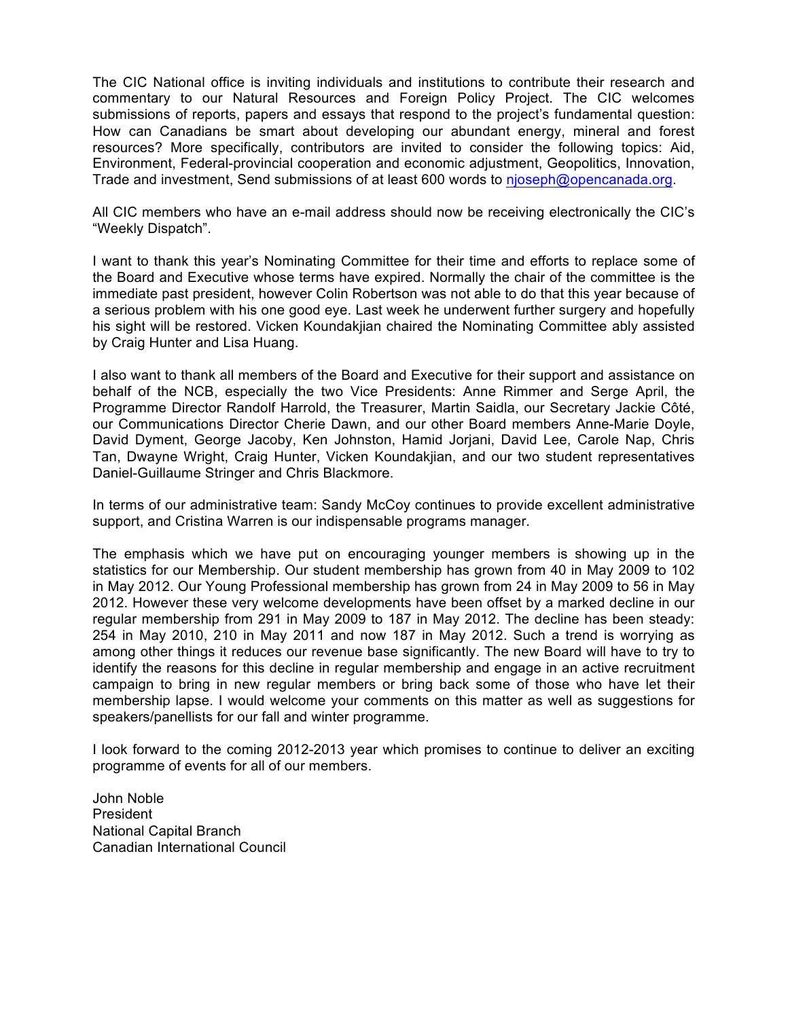The CIC National office is inviting individuals and institutions to contribute their research and commentary to our Natural Resources and Foreign Policy Project. The CIC welcomes submissions of reports, papers and essays that respond to the project's fundamental question: How can Canadians be smart about developing our abundant energy, mineral and forest resources? More specifically, contributors are invited to consider the following topics: Aid, Environment, Federal-provincial cooperation and economic adjustment, Geopolitics, Innovation, Trade and investment, Send submissions of at least 600 words to njoseph@opencanada.org.

All CIC members who have an e-mail address should now be receiving electronically the CIC's "Weekly Dispatch".

I want to thank this year's Nominating Committee for their time and efforts to replace some of the Board and Executive whose terms have expired. Normally the chair of the committee is the immediate past president, however Colin Robertson was not able to do that this year because of a serious problem with his one good eye. Last week he underwent further surgery and hopefully his sight will be restored. Vicken Koundakjian chaired the Nominating Committee ably assisted by Craig Hunter and Lisa Huang.

I also want to thank all members of the Board and Executive for their support and assistance on behalf of the NCB, especially the two Vice Presidents: Anne Rimmer and Serge April, the Programme Director Randolf Harrold, the Treasurer, Martin Saidla, our Secretary Jackie Côté, our Communications Director Cherie Dawn, and our other Board members Anne-Marie Doyle, David Dyment, George Jacoby, Ken Johnston, Hamid Jorjani, David Lee, Carole Nap, Chris Tan, Dwayne Wright, Craig Hunter, Vicken Koundakjian, and our two student representatives Daniel-Guillaume Stringer and Chris Blackmore.

In terms of our administrative team: Sandy McCoy continues to provide excellent administrative support, and Cristina Warren is our indispensable programs manager.

The emphasis which we have put on encouraging younger members is showing up in the statistics for our Membership. Our student membership has grown from 40 in May 2009 to 102 in May 2012. Our Young Professional membership has grown from 24 in May 2009 to 56 in May 2012. However these very welcome developments have been offset by a marked decline in our regular membership from 291 in May 2009 to 187 in May 2012. The decline has been steady: 254 in May 2010, 210 in May 2011 and now 187 in May 2012. Such a trend is worrying as among other things it reduces our revenue base significantly. The new Board will have to try to identify the reasons for this decline in regular membership and engage in an active recruitment campaign to bring in new regular members or bring back some of those who have let their membership lapse. I would welcome your comments on this matter as well as suggestions for speakers/panellists for our fall and winter programme.

I look forward to the coming 2012-2013 year which promises to continue to deliver an exciting programme of events for all of our members.

John Noble President National Capital Branch Canadian International Council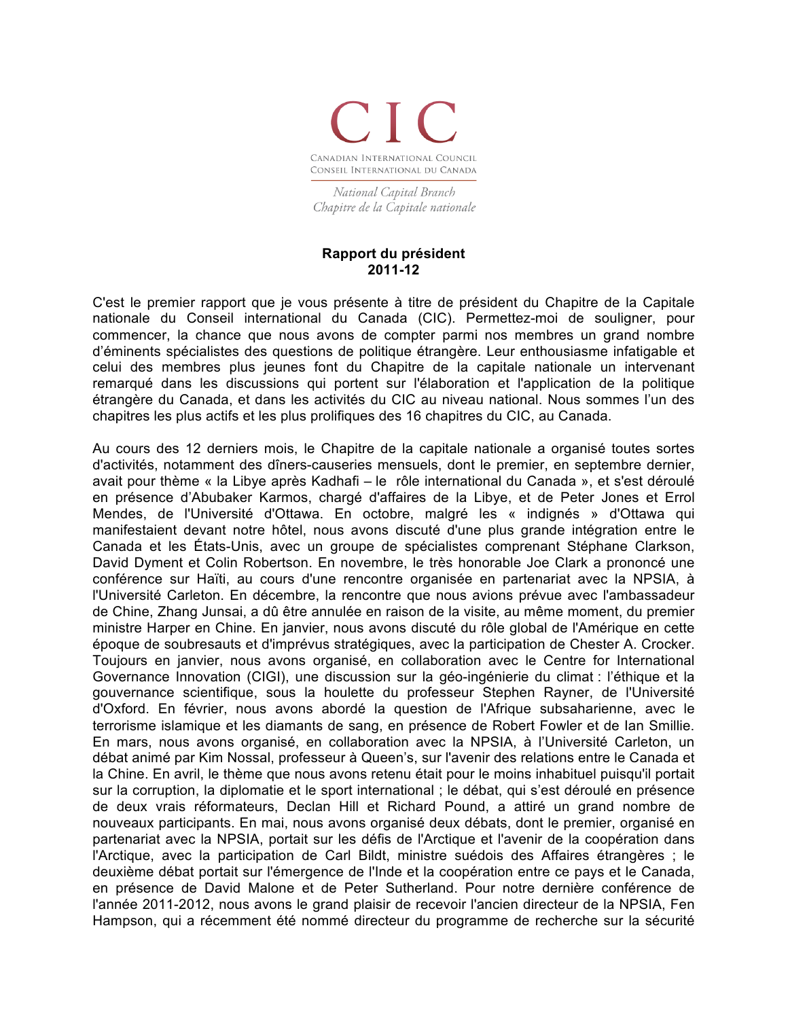

National Capital Branch Chapitre de la Capitale nationale

## **Rapport du président 2011-12**

C'est le premier rapport que je vous présente à titre de président du Chapitre de la Capitale nationale du Conseil international du Canada (CIC). Permettez-moi de souligner, pour commencer, la chance que nous avons de compter parmi nos membres un grand nombre d'éminents spécialistes des questions de politique étrangère. Leur enthousiasme infatigable et celui des membres plus jeunes font du Chapitre de la capitale nationale un intervenant remarqué dans les discussions qui portent sur l'élaboration et l'application de la politique étrangère du Canada, et dans les activités du CIC au niveau national. Nous sommes l'un des chapitres les plus actifs et les plus prolifiques des 16 chapitres du CIC, au Canada.

Au cours des 12 derniers mois, le Chapitre de la capitale nationale a organisé toutes sortes d'activités, notamment des dîners-causeries mensuels, dont le premier, en septembre dernier, avait pour thème « la Libye après Kadhafi – le rôle international du Canada », et s'est déroulé en présence d'Abubaker Karmos, chargé d'affaires de la Libye, et de Peter Jones et Errol Mendes, de l'Université d'Ottawa. En octobre, malgré les « indignés » d'Ottawa qui manifestaient devant notre hôtel, nous avons discuté d'une plus grande intégration entre le Canada et les États-Unis, avec un groupe de spécialistes comprenant Stéphane Clarkson, David Dyment et Colin Robertson. En novembre, le très honorable Joe Clark a prononcé une conférence sur Haïti, au cours d'une rencontre organisée en partenariat avec la NPSIA, à l'Université Carleton. En décembre, la rencontre que nous avions prévue avec l'ambassadeur de Chine, Zhang Junsai, a dû être annulée en raison de la visite, au même moment, du premier ministre Harper en Chine. En janvier, nous avons discuté du rôle global de l'Amérique en cette époque de soubresauts et d'imprévus stratégiques, avec la participation de Chester A. Crocker. Toujours en janvier, nous avons organisé, en collaboration avec le Centre for International Governance Innovation (CIGI), une discussion sur la géo-ingénierie du climat : l'éthique et la gouvernance scientifique, sous la houlette du professeur Stephen Rayner, de l'Université d'Oxford. En février, nous avons abordé la question de l'Afrique subsaharienne, avec le terrorisme islamique et les diamants de sang, en présence de Robert Fowler et de Ian Smillie. En mars, nous avons organisé, en collaboration avec la NPSIA, à l'Université Carleton, un débat animé par Kim Nossal, professeur à Queen's, sur l'avenir des relations entre le Canada et la Chine. En avril, le thème que nous avons retenu était pour le moins inhabituel puisqu'il portait sur la corruption, la diplomatie et le sport international ; le débat, qui s'est déroulé en présence de deux vrais réformateurs, Declan Hill et Richard Pound, a attiré un grand nombre de nouveaux participants. En mai, nous avons organisé deux débats, dont le premier, organisé en partenariat avec la NPSIA, portait sur les défis de l'Arctique et l'avenir de la coopération dans l'Arctique, avec la participation de Carl Bildt, ministre suédois des Affaires étrangères ; le deuxième débat portait sur l'émergence de l'Inde et la coopération entre ce pays et le Canada, en présence de David Malone et de Peter Sutherland. Pour notre dernière conférence de l'année 2011-2012, nous avons le grand plaisir de recevoir l'ancien directeur de la NPSIA, Fen Hampson, qui a récemment été nommé directeur du programme de recherche sur la sécurité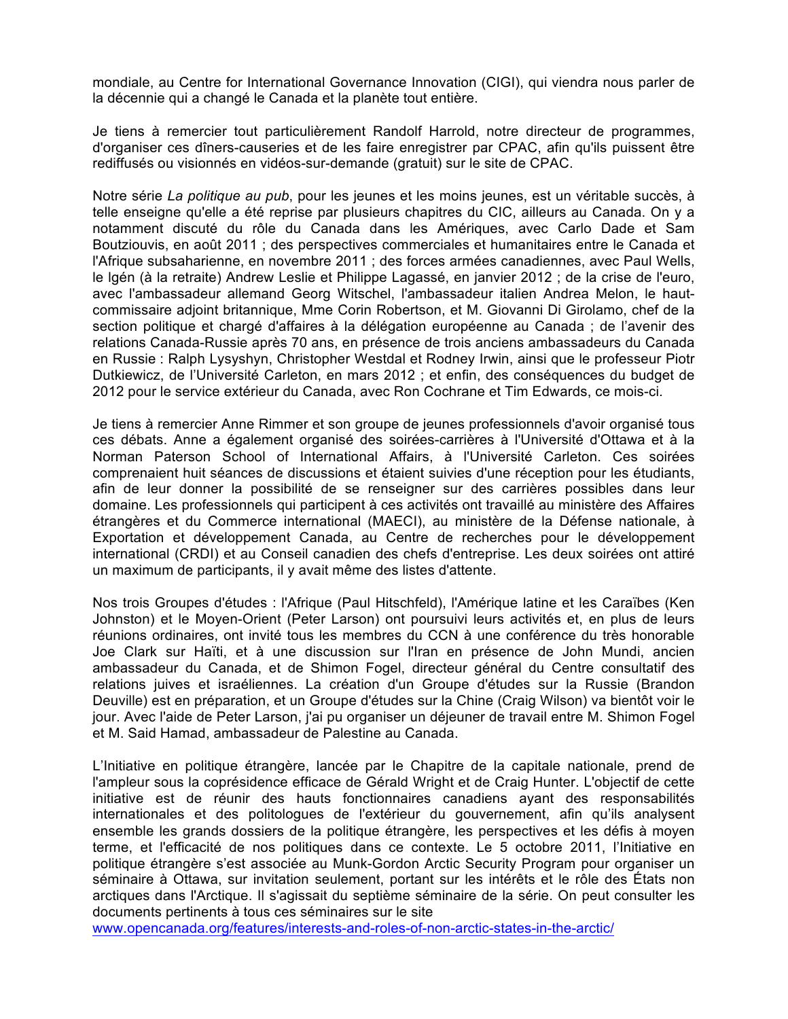mondiale, au Centre for International Governance Innovation (CIGI), qui viendra nous parler de la décennie qui a changé le Canada et la planète tout entière.

Je tiens à remercier tout particulièrement Randolf Harrold, notre directeur de programmes, d'organiser ces dîners-causeries et de les faire enregistrer par CPAC, afin qu'ils puissent être rediffusés ou visionnés en vidéos-sur-demande (gratuit) sur le site de CPAC.

Notre série *La politique au pub*, pour les jeunes et les moins jeunes, est un véritable succès, à telle enseigne qu'elle a été reprise par plusieurs chapitres du CIC, ailleurs au Canada. On y a notamment discuté du rôle du Canada dans les Amériques, avec Carlo Dade et Sam Boutziouvis, en août 2011 ; des perspectives commerciales et humanitaires entre le Canada et l'Afrique subsaharienne, en novembre 2011 ; des forces armées canadiennes, avec Paul Wells, le lgén (à la retraite) Andrew Leslie et Philippe Lagassé, en janvier 2012 ; de la crise de l'euro, avec l'ambassadeur allemand Georg Witschel, l'ambassadeur italien Andrea Melon, le hautcommissaire adjoint britannique, Mme Corin Robertson, et M. Giovanni Di Girolamo, chef de la section politique et chargé d'affaires à la délégation européenne au Canada ; de l'avenir des relations Canada-Russie après 70 ans, en présence de trois anciens ambassadeurs du Canada en Russie : Ralph Lysyshyn, Christopher Westdal et Rodney Irwin, ainsi que le professeur Piotr Dutkiewicz, de l'Université Carleton, en mars 2012 ; et enfin, des conséquences du budget de 2012 pour le service extérieur du Canada, avec Ron Cochrane et Tim Edwards, ce mois-ci.

Je tiens à remercier Anne Rimmer et son groupe de jeunes professionnels d'avoir organisé tous ces débats. Anne a également organisé des soirées-carrières à l'Université d'Ottawa et à la Norman Paterson School of International Affairs, à l'Université Carleton. Ces soirées comprenaient huit séances de discussions et étaient suivies d'une réception pour les étudiants, afin de leur donner la possibilité de se renseigner sur des carrières possibles dans leur domaine. Les professionnels qui participent à ces activités ont travaillé au ministère des Affaires étrangères et du Commerce international (MAECI), au ministère de la Défense nationale, à Exportation et développement Canada, au Centre de recherches pour le développement international (CRDI) et au Conseil canadien des chefs d'entreprise. Les deux soirées ont attiré un maximum de participants, il y avait même des listes d'attente.

Nos trois Groupes d'études : l'Afrique (Paul Hitschfeld), l'Amérique latine et les Caraïbes (Ken Johnston) et le Moyen-Orient (Peter Larson) ont poursuivi leurs activités et, en plus de leurs réunions ordinaires, ont invité tous les membres du CCN à une conférence du très honorable Joe Clark sur Haïti, et à une discussion sur l'Iran en présence de John Mundi, ancien ambassadeur du Canada, et de Shimon Fogel, directeur général du Centre consultatif des relations juives et israéliennes. La création d'un Groupe d'études sur la Russie (Brandon Deuville) est en préparation, et un Groupe d'études sur la Chine (Craig Wilson) va bientôt voir le jour. Avec l'aide de Peter Larson, j'ai pu organiser un déjeuner de travail entre M. Shimon Fogel et M. Said Hamad, ambassadeur de Palestine au Canada.

L'Initiative en politique étrangère, lancée par le Chapitre de la capitale nationale, prend de l'ampleur sous la coprésidence efficace de Gérald Wright et de Craig Hunter. L'objectif de cette initiative est de réunir des hauts fonctionnaires canadiens ayant des responsabilités internationales et des politologues de l'extérieur du gouvernement, afin qu'ils analysent ensemble les grands dossiers de la politique étrangère, les perspectives et les défis à moyen terme, et l'efficacité de nos politiques dans ce contexte. Le 5 octobre 2011, l'Initiative en politique étrangère s'est associée au Munk-Gordon Arctic Security Program pour organiser un séminaire à Ottawa, sur invitation seulement, portant sur les intérêts et le rôle des États non arctiques dans l'Arctique. Il s'agissait du septième séminaire de la série. On peut consulter les documents pertinents à tous ces séminaires sur le site

www.opencanada.org/features/interests-and-roles-of-non-arctic-states-in-the-arctic/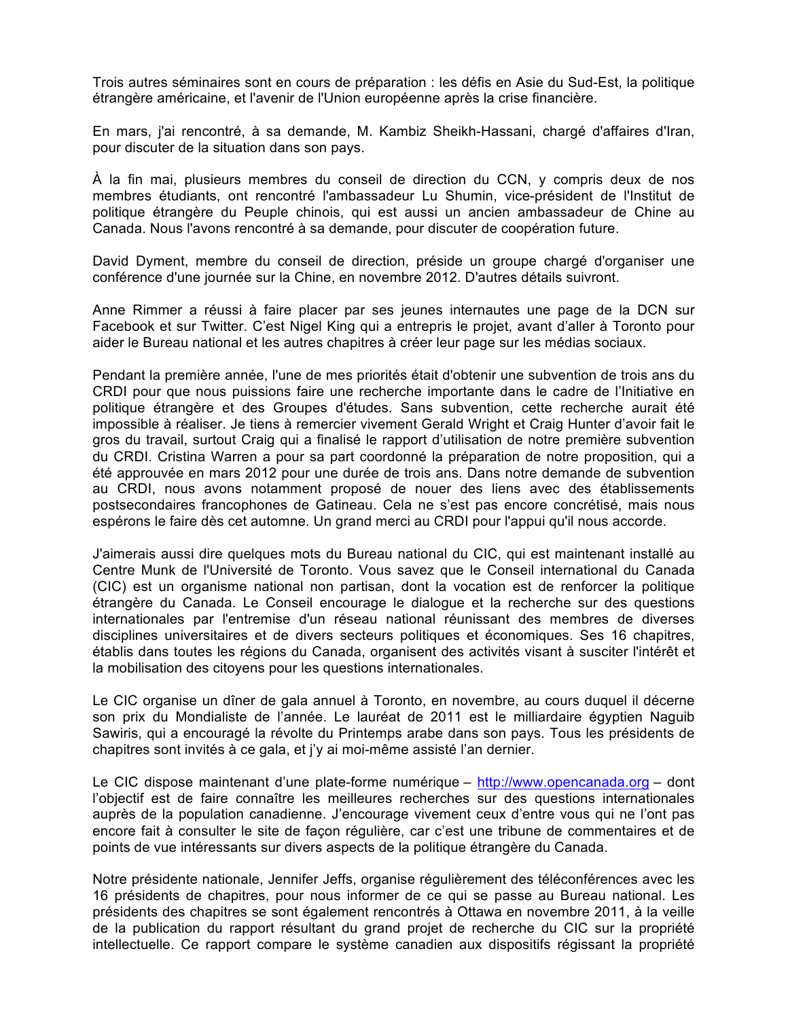Trois autres séminaires sont en cours de préparation : les défis en Asie du Sud-Est, la politique étrangère américaine, et l'avenir de l'Union européenne après la crise financière.

En mars, j'ai rencontré, à sa demande, M. Kambiz Sheikh-Hassani, chargé d'affaires d'Iran, pour discuter de la situation dans son pays.

À la fin mai, plusieurs membres du conseil de direction du CCN, y compris deux de nos membres étudiants, ont rencontré l'ambassadeur Lu Shumin, vice-président de l'Institut de politique étrangère du Peuple chinois, qui est aussi un ancien ambassadeur de Chine au Canada. Nous l'avons rencontré à sa demande, pour discuter de coopération future.

David Dyment, membre du conseil de direction, préside un groupe chargé d'organiser une conférence d'une journée sur la Chine, en novembre 2012. D'autres détails suivront.

Anne Rimmer a réussi à faire placer par ses jeunes internautes une page de la DCN sur Facebook et sur Twitter. C'est Nigel King qui a entrepris le projet, avant d'aller à Toronto pour aider le Bureau national et les autres chapitres à créer leur page sur les médias sociaux.

Pendant la première année, l'une de mes priorités était d'obtenir une subvention de trois ans du CRDI pour que nous puissions faire une recherche importante dans le cadre de l'Initiative en politique étrangère et des Groupes d'études. Sans subvention, cette recherche aurait été impossible à réaliser. Je tiens à remercier vivement Gerald Wright et Craig Hunter d'avoir fait le gros du travail, surtout Craig qui a finalisé le rapport d'utilisation de notre première subvention du CRDI. Cristina Warren a pour sa part coordonné la préparation de notre proposition, qui a été approuvée en mars 2012 pour une durée de trois ans. Dans notre demande de subvention au CRDI, nous avons notamment proposé de nouer des liens avec des établissements postsecondaires francophones de Gatineau. Cela ne s'est pas encore concrétisé, mais nous espérons le faire dès cet automne. Un grand merci au CRDI pour l'appui qu'il nous accorde.

J'aimerais aussi dire quelques mots du Bureau national du CIC, qui est maintenant installé au Centre Munk de l'Université de Toronto. Vous savez que le Conseil international du Canada (CIC) est un organisme national non partisan, dont la vocation est de renforcer la politique étrangère du Canada. Le Conseil encourage le dialogue et la recherche sur des questions internationales par l'entremise d'un réseau national réunissant des membres de diverses disciplines universitaires et de divers secteurs politiques et économiques. Ses 16 chapitres, établis dans toutes les régions du Canada, organisent des activités visant à susciter l'intérêt et la mobilisation des citoyens pour les questions internationales.

Le CIC organise un dîner de gala annuel à Toronto, en novembre, au cours duquel il décerne son prix du Mondialiste de l'année. Le lauréat de 2011 est le milliardaire égyptien Naguib Sawiris, qui a encouragé la révolte du Printemps arabe dans son pays. Tous les présidents de chapitres sont invités à ce gala, et j'y ai moi-même assisté l'an dernier.

Le CIC dispose maintenant d'une plate-forme numérique – http://www.opencanada.org – dont l'objectif est de faire connaître les meilleures recherches sur des questions internationales auprès de la population canadienne. J'encourage vivement ceux d'entre vous qui ne l'ont pas encore fait à consulter le site de façon régulière, car c'est une tribune de commentaires et de points de vue intéressants sur divers aspects de la politique étrangère du Canada.

Notre présidente nationale, Jennifer Jeffs, organise régulièrement des téléconférences avec les 16 présidents de chapitres, pour nous informer de ce qui se passe au Bureau national. Les présidents des chapitres se sont également rencontrés à Ottawa en novembre 2011, à la veille de la publication du rapport résultant du grand projet de recherche du CIC sur la propriété intellectuelle. Ce rapport compare le système canadien aux dispositifs régissant la propriété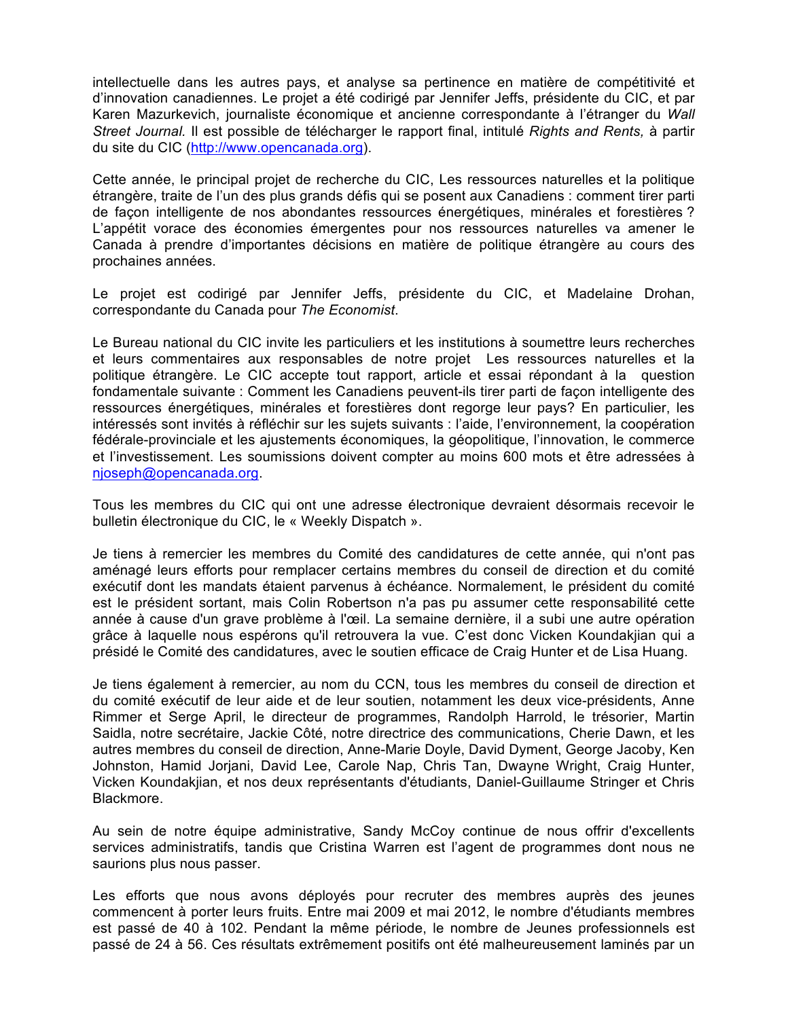intellectuelle dans les autres pays, et analyse sa pertinence en matière de compétitivité et d'innovation canadiennes. Le projet a été codirigé par Jennifer Jeffs, présidente du CIC, et par Karen Mazurkevich, journaliste économique et ancienne correspondante à l'étranger du *Wall Street Journal.* Il est possible de télécharger le rapport final, intitulé *Rights and Rents,* à partir du site du CIC (http://www.opencanada.org).

Cette année, le principal projet de recherche du CIC, Les ressources naturelles et la politique étrangère, traite de l'un des plus grands défis qui se posent aux Canadiens : comment tirer parti de façon intelligente de nos abondantes ressources énergétiques, minérales et forestières ? L'appétit vorace des économies émergentes pour nos ressources naturelles va amener le Canada à prendre d'importantes décisions en matière de politique étrangère au cours des prochaines années.

Le projet est codirigé par Jennifer Jeffs, présidente du CIC, et Madelaine Drohan, correspondante du Canada pour *The Economist*.

Le Bureau national du CIC invite les particuliers et les institutions à soumettre leurs recherches et leurs commentaires aux responsables de notre projet Les ressources naturelles et la politique étrangère. Le CIC accepte tout rapport, article et essai répondant à la question fondamentale suivante : Comment les Canadiens peuvent-ils tirer parti de façon intelligente des ressources énergétiques, minérales et forestières dont regorge leur pays? En particulier, les intéressés sont invités à réfléchir sur les sujets suivants : l'aide, l'environnement, la coopération fédérale-provinciale et les ajustements économiques, la géopolitique, l'innovation, le commerce et l'investissement. Les soumissions doivent compter au moins 600 mots et être adressées à njoseph@opencanada.org.

Tous les membres du CIC qui ont une adresse électronique devraient désormais recevoir le bulletin électronique du CIC, le « Weekly Dispatch ».

Je tiens à remercier les membres du Comité des candidatures de cette année, qui n'ont pas aménagé leurs efforts pour remplacer certains membres du conseil de direction et du comité exécutif dont les mandats étaient parvenus à échéance. Normalement, le président du comité est le président sortant, mais Colin Robertson n'a pas pu assumer cette responsabilité cette année à cause d'un grave problème à l'œil. La semaine dernière, il a subi une autre opération grâce à laquelle nous espérons qu'il retrouvera la vue. C'est donc Vicken Koundakjian qui a présidé le Comité des candidatures, avec le soutien efficace de Craig Hunter et de Lisa Huang.

Je tiens également à remercier, au nom du CCN, tous les membres du conseil de direction et du comité exécutif de leur aide et de leur soutien, notamment les deux vice-présidents, Anne Rimmer et Serge April, le directeur de programmes, Randolph Harrold, le trésorier, Martin Saidla, notre secrétaire, Jackie Côté, notre directrice des communications, Cherie Dawn, et les autres membres du conseil de direction, Anne-Marie Doyle, David Dyment, George Jacoby, Ken Johnston, Hamid Jorjani, David Lee, Carole Nap, Chris Tan, Dwayne Wright, Craig Hunter, Vicken Koundakjian, et nos deux représentants d'étudiants, Daniel-Guillaume Stringer et Chris Blackmore.

Au sein de notre équipe administrative, Sandy McCoy continue de nous offrir d'excellents services administratifs, tandis que Cristina Warren est l'agent de programmes dont nous ne saurions plus nous passer.

Les efforts que nous avons déployés pour recruter des membres auprès des jeunes commencent à porter leurs fruits. Entre mai 2009 et mai 2012, le nombre d'étudiants membres est passé de 40 à 102. Pendant la même période, le nombre de Jeunes professionnels est passé de 24 à 56. Ces résultats extrêmement positifs ont été malheureusement laminés par un